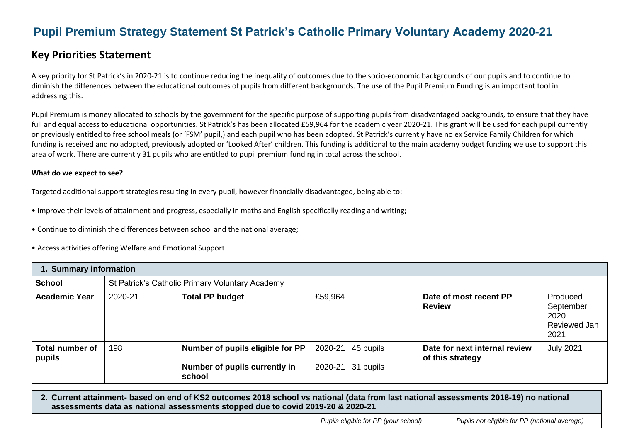# **Pupil Premium Strategy Statement St Patrick's Catholic Primary Voluntary Academy 2020-21**

## **Key Priorities Statement**

A key priority for St Patrick's in 2020-21 is to continue reducing the inequality of outcomes due to the socio-economic backgrounds of our pupils and to continue to diminish the differences between the educational outcomes of pupils from different backgrounds. The use of the Pupil Premium Funding is an important tool in addressing this.

Pupil Premium is money allocated to schools by the government for the specific purpose of supporting pupils from disadvantaged backgrounds, to ensure that they have full and equal access to educational opportunities. St Patrick's has been allocated £59,964 for the academic year 2020-21. This grant will be used for each pupil currently or previously entitled to free school meals (or 'FSM' pupil,) and each pupil who has been adopted. St Patrick's currently have no ex Service Family Children for which funding is received and no adopted, previously adopted or 'Looked After' children. This funding is additional to the main academy budget funding we use to support this area of work. There are currently 31 pupils who are entitled to pupil premium funding in total across the school.

#### **What do we expect to see?**

Targeted additional support strategies resulting in every pupil, however financially disadvantaged, being able to:

- Improve their levels of attainment and progress, especially in maths and English specifically reading and writing;
- Continue to diminish the differences between school and the national average;
- Access activities offering Welfare and Emotional Support

| 1. Summary information           |         |                                                                             |                                           |                                                   |                                                       |  |  |
|----------------------------------|---------|-----------------------------------------------------------------------------|-------------------------------------------|---------------------------------------------------|-------------------------------------------------------|--|--|
| <b>School</b>                    |         | St Patrick's Catholic Primary Voluntary Academy                             |                                           |                                                   |                                                       |  |  |
| <b>Academic Year</b>             | 2020-21 | <b>Total PP budget</b>                                                      | £59,964                                   | Date of most recent PP<br><b>Review</b>           | Produced<br>September<br>2020<br>Reviewed Jan<br>2021 |  |  |
| <b>Total number of</b><br>pupils | 198     | Number of pupils eligible for PP<br>Number of pupils currently in<br>school | 2020-21<br>45 pupils<br>2020-21 31 pupils | Date for next internal review<br>of this strategy | <b>July 2021</b>                                      |  |  |

#### **2. Current attainment- based on end of KS2 outcomes 2018 school vs national (data from last national assessments 2018-19) no national assessments data as national assessments stopped due to covid 2019-20 & 2020-21**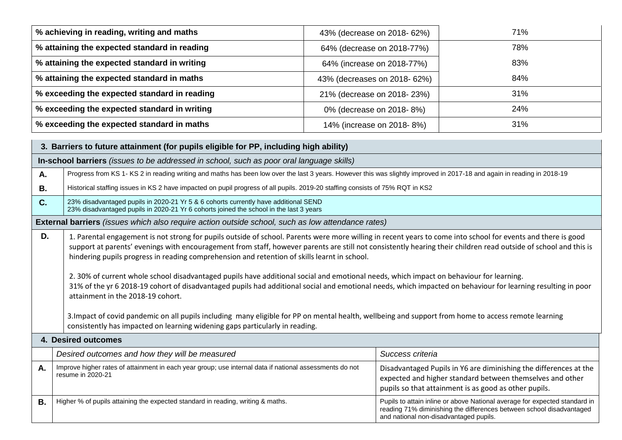| % achieving in reading, writing and maths    | 43% (decrease on 2018- 62%)  | 71% |
|----------------------------------------------|------------------------------|-----|
| % attaining the expected standard in reading | 64% (decrease on 2018-77%)   | 78% |
| % attaining the expected standard in writing | 64% (increase on 2018-77%)   | 83% |
| % attaining the expected standard in maths   | 43% (decreases on 2018- 62%) | 84% |
| % exceeding the expected standard in reading | 21% (decrease on 2018-23%)   | 31% |
| % exceeding the expected standard in writing | 0% (decrease on 2018-8%)     | 24% |
| % exceeding the expected standard in maths   | 14% (increase on 2018-8%)    | 31% |

| 3. Barriers to future attainment (for pupils eligible for PP, including high ability) |                                                                                                                                                                                                                                                                                                                                                                                                                                                                                                                                                                                                                                                                                                                                                                                                                                                                                                                                                                                                                           |                                                                                                                                                                                              |  |  |  |
|---------------------------------------------------------------------------------------|---------------------------------------------------------------------------------------------------------------------------------------------------------------------------------------------------------------------------------------------------------------------------------------------------------------------------------------------------------------------------------------------------------------------------------------------------------------------------------------------------------------------------------------------------------------------------------------------------------------------------------------------------------------------------------------------------------------------------------------------------------------------------------------------------------------------------------------------------------------------------------------------------------------------------------------------------------------------------------------------------------------------------|----------------------------------------------------------------------------------------------------------------------------------------------------------------------------------------------|--|--|--|
|                                                                                       | In-school barriers (issues to be addressed in school, such as poor oral language skills)                                                                                                                                                                                                                                                                                                                                                                                                                                                                                                                                                                                                                                                                                                                                                                                                                                                                                                                                  |                                                                                                                                                                                              |  |  |  |
| Α.                                                                                    | Progress from KS 1- KS 2 in reading writing and maths has been low over the last 3 years. However this was slightly improved in 2017-18 and again in reading in 2018-19                                                                                                                                                                                                                                                                                                                                                                                                                                                                                                                                                                                                                                                                                                                                                                                                                                                   |                                                                                                                                                                                              |  |  |  |
| <b>B.</b>                                                                             | Historical staffing issues in KS 2 have impacted on pupil progress of all pupils. 2019-20 staffing consists of 75% RQT in KS2                                                                                                                                                                                                                                                                                                                                                                                                                                                                                                                                                                                                                                                                                                                                                                                                                                                                                             |                                                                                                                                                                                              |  |  |  |
| C.                                                                                    | 23% disadvantaged pupils in 2020-21 Yr 5 & 6 cohorts currently have additional SEND<br>23% disadvantaged pupils in 2020-21 Yr 6 cohorts joined the school in the last 3 years                                                                                                                                                                                                                                                                                                                                                                                                                                                                                                                                                                                                                                                                                                                                                                                                                                             |                                                                                                                                                                                              |  |  |  |
|                                                                                       | <b>External barriers</b> (issues which also require action outside school, such as low attendance rates)                                                                                                                                                                                                                                                                                                                                                                                                                                                                                                                                                                                                                                                                                                                                                                                                                                                                                                                  |                                                                                                                                                                                              |  |  |  |
| D.                                                                                    | 1. Parental engagement is not strong for pupils outside of school. Parents were more willing in recent years to come into school for events and there is good<br>support at parents' evenings with encouragement from staff, however parents are still not consistently hearing their children read outside of school and this is<br>hindering pupils progress in reading comprehension and retention of skills learnt in school.<br>2. 30% of current whole school disadvantaged pupils have additional social and emotional needs, which impact on behaviour for learning.<br>31% of the yr 6 2018-19 cohort of disadvantaged pupils had additional social and emotional needs, which impacted on behaviour for learning resulting in poor<br>attainment in the 2018-19 cohort.<br>3. Impact of covid pandemic on all pupils including many eligible for PP on mental health, wellbeing and support from home to access remote learning<br>consistently has impacted on learning widening gaps particularly in reading. |                                                                                                                                                                                              |  |  |  |
|                                                                                       | 4. Desired outcomes                                                                                                                                                                                                                                                                                                                                                                                                                                                                                                                                                                                                                                                                                                                                                                                                                                                                                                                                                                                                       |                                                                                                                                                                                              |  |  |  |
|                                                                                       | Desired outcomes and how they will be measured                                                                                                                                                                                                                                                                                                                                                                                                                                                                                                                                                                                                                                                                                                                                                                                                                                                                                                                                                                            | Success criteria                                                                                                                                                                             |  |  |  |
| Α.                                                                                    | Improve higher rates of attainment in each year group; use internal data if national assessments do not<br>Disadvantaged Pupils in Y6 are diminishing the differences at the<br>resume in 2020-21<br>expected and higher standard between themselves and other<br>pupils so that attainment is as good as other pupils.                                                                                                                                                                                                                                                                                                                                                                                                                                                                                                                                                                                                                                                                                                   |                                                                                                                                                                                              |  |  |  |
| В.                                                                                    | Higher % of pupils attaining the expected standard in reading, writing & maths.                                                                                                                                                                                                                                                                                                                                                                                                                                                                                                                                                                                                                                                                                                                                                                                                                                                                                                                                           | Pupils to attain inline or above National average for expected standard in<br>reading 71% diminishing the differences between school disadvantaged<br>and national non-disadvantaged pupils. |  |  |  |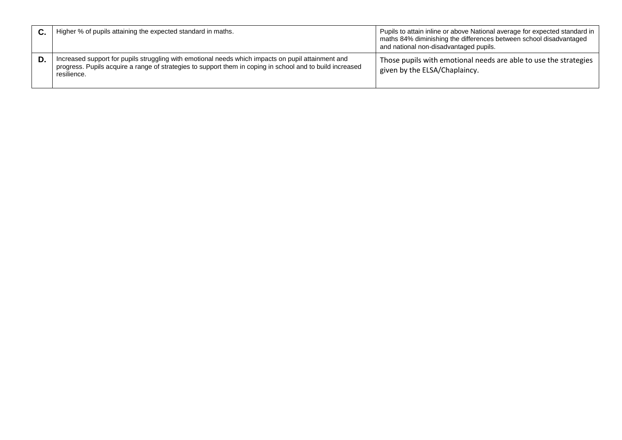|    | Higher % of pupils attaining the expected standard in maths.                                                                                                                                                                   | Pupils to attain inline or above National average for expected standard in<br>maths 84% diminishing the differences between school disadvantaged<br>and national non-disadvantaged pupils. |
|----|--------------------------------------------------------------------------------------------------------------------------------------------------------------------------------------------------------------------------------|--------------------------------------------------------------------------------------------------------------------------------------------------------------------------------------------|
| D. | Increased support for pupils struggling with emotional needs which impacts on pupil attainment and<br>progress. Pupils acquire a range of strategies to support them in coping in school and to build increased<br>resilience. | Those pupils with emotional needs are able to use the strategies<br>given by the ELSA/Chaplaincy.                                                                                          |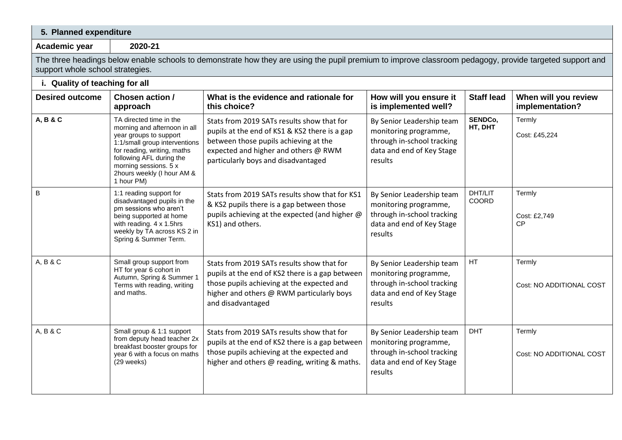| 5. Planned expenditure           |                                                                                                                                                                                                                                                    |                                                                                                                                                                                                                     |                                                                                                                          |                    |                                         |
|----------------------------------|----------------------------------------------------------------------------------------------------------------------------------------------------------------------------------------------------------------------------------------------------|---------------------------------------------------------------------------------------------------------------------------------------------------------------------------------------------------------------------|--------------------------------------------------------------------------------------------------------------------------|--------------------|-----------------------------------------|
| Academic year                    | 2020-21                                                                                                                                                                                                                                            |                                                                                                                                                                                                                     |                                                                                                                          |                    |                                         |
| support whole school strategies. |                                                                                                                                                                                                                                                    | The three headings below enable schools to demonstrate how they are using the pupil premium to improve classroom pedagogy, provide targeted support and                                                             |                                                                                                                          |                    |                                         |
| i. Quality of teaching for all   |                                                                                                                                                                                                                                                    |                                                                                                                                                                                                                     |                                                                                                                          |                    |                                         |
| <b>Desired outcome</b>           | Chosen action /<br>approach                                                                                                                                                                                                                        | What is the evidence and rationale for<br>this choice?                                                                                                                                                              | How will you ensure it<br>is implemented well?                                                                           | <b>Staff lead</b>  | When will you review<br>implementation? |
| A, B & C                         | TA directed time in the<br>morning and afternoon in all<br>year groups to support<br>1:1/small group interventions<br>for reading, writing, maths<br>following AFL during the<br>morning sessions. 5 x<br>2hours weekly (I hour AM &<br>1 hour PM) | Stats from 2019 SATs results show that for<br>pupils at the end of KS1 & KS2 there is a gap<br>between those pupils achieving at the<br>expected and higher and others @ RWM<br>particularly boys and disadvantaged | By Senior Leadership team<br>monitoring programme,<br>through in-school tracking<br>data and end of Key Stage<br>results | SENDCo,<br>HT, DHT | Termly<br>Cost: £45,224                 |
| B                                | 1:1 reading support for<br>disadvantaged pupils in the<br>pm sessions who aren't<br>being supported at home<br>with reading. 4 x 1.5hrs<br>weekly by TA across KS 2 in<br>Spring & Summer Term.                                                    | Stats from 2019 SATs results show that for KS1<br>& KS2 pupils there is a gap between those<br>pupils achieving at the expected (and higher @<br>KS1) and others.                                                   | By Senior Leadership team<br>monitoring programme,<br>through in-school tracking<br>data and end of Key Stage<br>results | DHT/LIT<br>COORD   | Termly<br>Cost: £2,749<br><b>CP</b>     |
| A, B & C                         | Small group support from<br>HT for year 6 cohort in<br>Autumn, Spring & Summer<br>Terms with reading, writing<br>and maths.                                                                                                                        | Stats from 2019 SATs results show that for<br>pupils at the end of KS2 there is a gap between<br>those pupils achieving at the expected and<br>higher and others @ RWM particularly boys<br>and disadvantaged       | By Senior Leadership team<br>monitoring programme,<br>through in-school tracking<br>data and end of Key Stage<br>results | HT                 | Termly<br>Cost: NO ADDITIONAL COST      |
| A, B & C                         | Small group & 1:1 support<br>from deputy head teacher 2x<br>breakfast booster groups for<br>year 6 with a focus on maths<br>(29 weeks)                                                                                                             | Stats from 2019 SATs results show that for<br>pupils at the end of KS2 there is a gap between<br>those pupils achieving at the expected and<br>higher and others @ reading, writing & maths.                        | By Senior Leadership team<br>monitoring programme,<br>through in-school tracking<br>data and end of Key Stage<br>results | <b>DHT</b>         | Termly<br>Cost: NO ADDITIONAL COST      |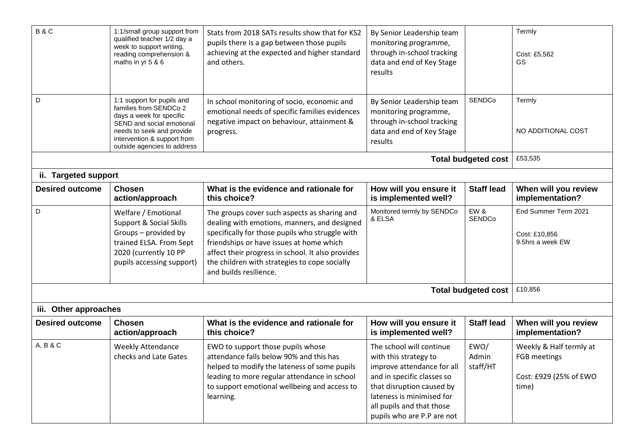| B&C                    | 1:1/small group support from<br>qualified teacher 1/2 day a<br>week to support writing,<br>reading comprehension &<br>maths in yr 5 & 6                                                                  | Stats from 2018 SATs results show that for KS2<br>pupils there is a gap between those pupils<br>achieving at the expected and higher standard<br>and others.                                                                                                                                                                | By Senior Leadership team<br>monitoring programme,<br>through in-school tracking<br>data and end of Key Stage<br>results                                                                                                           |                            | Termly<br>Cost: £5,562<br>GS                                               |
|------------------------|----------------------------------------------------------------------------------------------------------------------------------------------------------------------------------------------------------|-----------------------------------------------------------------------------------------------------------------------------------------------------------------------------------------------------------------------------------------------------------------------------------------------------------------------------|------------------------------------------------------------------------------------------------------------------------------------------------------------------------------------------------------------------------------------|----------------------------|----------------------------------------------------------------------------|
| D                      | 1:1 support for pupils and<br>families from SENDCo 2<br>days a week for specific<br>SEND and social emotional<br>needs to seek and provide<br>intervention & support from<br>outside agencies to address | In school monitoring of socio, economic and<br>emotional needs of specific families evidences<br>negative impact on behaviour, attainment &<br>progress.                                                                                                                                                                    | By Senior Leadership team<br>monitoring programme,<br>through in-school tracking<br>data and end of Key Stage<br>results                                                                                                           | <b>SENDCo</b>              | Termly<br>NO ADDITIONAL COST                                               |
|                        |                                                                                                                                                                                                          |                                                                                                                                                                                                                                                                                                                             |                                                                                                                                                                                                                                    | <b>Total budgeted cost</b> | £53,535                                                                    |
| ii. Targeted support   |                                                                                                                                                                                                          |                                                                                                                                                                                                                                                                                                                             |                                                                                                                                                                                                                                    |                            |                                                                            |
| <b>Desired outcome</b> | <b>Chosen</b><br>action/approach                                                                                                                                                                         | What is the evidence and rationale for<br>this choice?                                                                                                                                                                                                                                                                      | How will you ensure it<br>is implemented well?                                                                                                                                                                                     | <b>Staff lead</b>          | When will you review<br>implementation?                                    |
| D                      | Welfare / Emotional<br>Support & Social Skills<br>Groups - provided by<br>trained ELSA. From Sept<br>2020 (currently 10 PP<br>pupils accessing support)                                                  | The groups cover such aspects as sharing and<br>dealing with emotions, manners, and designed<br>specifically for those pupils who struggle with<br>friendships or have issues at home which<br>affect their progress in school. It also provides<br>the children with strategies to cope socially<br>and builds resilience. | Monitored termly by SENDCo<br>& ELSA                                                                                                                                                                                               | EW&<br>SENDCo              | End Summer Term 2021<br>Cost: £10,856<br>9.5hrs a week EW                  |
|                        |                                                                                                                                                                                                          |                                                                                                                                                                                                                                                                                                                             |                                                                                                                                                                                                                                    | <b>Total budgeted cost</b> | £10,856                                                                    |
| iii. Other approaches  |                                                                                                                                                                                                          |                                                                                                                                                                                                                                                                                                                             |                                                                                                                                                                                                                                    |                            |                                                                            |
| <b>Desired outcome</b> | <b>Chosen</b><br>action/approach                                                                                                                                                                         | What is the evidence and rationale for<br>this choice?                                                                                                                                                                                                                                                                      | How will you ensure it<br>is implemented well?                                                                                                                                                                                     | <b>Staff lead</b>          | When will you review<br>implementation?                                    |
| A, B & C               | <b>Weekly Attendance</b><br>checks and Late Gates                                                                                                                                                        | EWO to support those pupils whose<br>attendance falls below 90% and this has<br>helped to modify the lateness of some pupils<br>leading to more regular attendance in school<br>to support emotional wellbeing and access to<br>learning.                                                                                   | The school will continue<br>with this strategy to<br>improve attendance for all<br>and in specific classes so<br>that disruption caused by<br>lateness is minimised for<br>all pupils and that those<br>pupils who are P.P are not | EWO/<br>Admin<br>staff/HT  | Weekly & Half termly at<br>FGB meetings<br>Cost: £929 (25% of EWO<br>time) |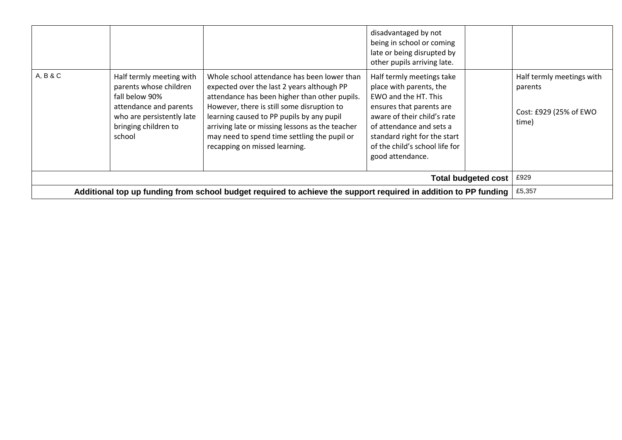|          |                                                                                                                                                               |                                                                                                                                                                                                                                                                                                                                                                           | disadvantaged by not<br>being in school or coming<br>late or being disrupted by<br>other pupils arriving late.                                                                                                                                            |                            |                                                                         |
|----------|---------------------------------------------------------------------------------------------------------------------------------------------------------------|---------------------------------------------------------------------------------------------------------------------------------------------------------------------------------------------------------------------------------------------------------------------------------------------------------------------------------------------------------------------------|-----------------------------------------------------------------------------------------------------------------------------------------------------------------------------------------------------------------------------------------------------------|----------------------------|-------------------------------------------------------------------------|
| A, B & C | Half termly meeting with<br>parents whose children<br>fall below 90%<br>attendance and parents<br>who are persistently late<br>bringing children to<br>school | Whole school attendance has been lower than<br>expected over the last 2 years although PP<br>attendance has been higher than other pupils.<br>However, there is still some disruption to<br>learning caused to PP pupils by any pupil<br>arriving late or missing lessons as the teacher<br>may need to spend time settling the pupil or<br>recapping on missed learning. | Half termly meetings take<br>place with parents, the<br>EWO and the HT. This<br>ensures that parents are<br>aware of their child's rate<br>of attendance and sets a<br>standard right for the start<br>of the child's school life for<br>good attendance. |                            | Half termly meetings with<br>parents<br>Cost: £929 (25% of EWO<br>time) |
|          |                                                                                                                                                               |                                                                                                                                                                                                                                                                                                                                                                           |                                                                                                                                                                                                                                                           | <b>Total budgeted cost</b> | £929                                                                    |
|          |                                                                                                                                                               | Additional top up funding from school budget required to achieve the support required in addition to PP funding                                                                                                                                                                                                                                                           |                                                                                                                                                                                                                                                           |                            | £5,357                                                                  |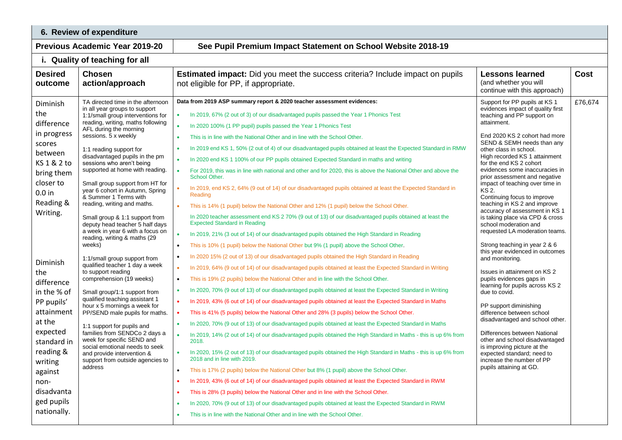| 6. Review of expenditure                                                                                                                                                                                                                                                                             |                                                                                                                                                                                                                                                                                                                                                                                                                                                                                                                                                                                                                                                                                                                                                                                                                                                                                                                                                                                                                                                                                  |                                                                                                                                                                                                                                                                                                                                                                                                                                                                                                                                                                                                                                                                                                                                                                                                                                                                                                                                                                                                                                                                                                                                                                                                                                                                                                                                                                                                                                                                                                                                                                                                                                                                                                                                                                                                                                                                                                                                                                                                                                                                                                                                                                                                                                                                                                                                                                                                                                                                                                                                      |                                                                                                                                                                                                                                                                                                                                                                                                                                                                                                                                                                                                                                                                                                                                                                                                                                                                                                                                                                                                                                                                            |             |  |  |
|------------------------------------------------------------------------------------------------------------------------------------------------------------------------------------------------------------------------------------------------------------------------------------------------------|----------------------------------------------------------------------------------------------------------------------------------------------------------------------------------------------------------------------------------------------------------------------------------------------------------------------------------------------------------------------------------------------------------------------------------------------------------------------------------------------------------------------------------------------------------------------------------------------------------------------------------------------------------------------------------------------------------------------------------------------------------------------------------------------------------------------------------------------------------------------------------------------------------------------------------------------------------------------------------------------------------------------------------------------------------------------------------|--------------------------------------------------------------------------------------------------------------------------------------------------------------------------------------------------------------------------------------------------------------------------------------------------------------------------------------------------------------------------------------------------------------------------------------------------------------------------------------------------------------------------------------------------------------------------------------------------------------------------------------------------------------------------------------------------------------------------------------------------------------------------------------------------------------------------------------------------------------------------------------------------------------------------------------------------------------------------------------------------------------------------------------------------------------------------------------------------------------------------------------------------------------------------------------------------------------------------------------------------------------------------------------------------------------------------------------------------------------------------------------------------------------------------------------------------------------------------------------------------------------------------------------------------------------------------------------------------------------------------------------------------------------------------------------------------------------------------------------------------------------------------------------------------------------------------------------------------------------------------------------------------------------------------------------------------------------------------------------------------------------------------------------------------------------------------------------------------------------------------------------------------------------------------------------------------------------------------------------------------------------------------------------------------------------------------------------------------------------------------------------------------------------------------------------------------------------------------------------------------------------------------------------|----------------------------------------------------------------------------------------------------------------------------------------------------------------------------------------------------------------------------------------------------------------------------------------------------------------------------------------------------------------------------------------------------------------------------------------------------------------------------------------------------------------------------------------------------------------------------------------------------------------------------------------------------------------------------------------------------------------------------------------------------------------------------------------------------------------------------------------------------------------------------------------------------------------------------------------------------------------------------------------------------------------------------------------------------------------------------|-------------|--|--|
|                                                                                                                                                                                                                                                                                                      | <b>Previous Academic Year 2019-20</b><br>See Pupil Premium Impact Statement on School Website 2018-19                                                                                                                                                                                                                                                                                                                                                                                                                                                                                                                                                                                                                                                                                                                                                                                                                                                                                                                                                                            |                                                                                                                                                                                                                                                                                                                                                                                                                                                                                                                                                                                                                                                                                                                                                                                                                                                                                                                                                                                                                                                                                                                                                                                                                                                                                                                                                                                                                                                                                                                                                                                                                                                                                                                                                                                                                                                                                                                                                                                                                                                                                                                                                                                                                                                                                                                                                                                                                                                                                                                                      |                                                                                                                                                                                                                                                                                                                                                                                                                                                                                                                                                                                                                                                                                                                                                                                                                                                                                                                                                                                                                                                                            |             |  |  |
|                                                                                                                                                                                                                                                                                                      | i. Quality of teaching for all                                                                                                                                                                                                                                                                                                                                                                                                                                                                                                                                                                                                                                                                                                                                                                                                                                                                                                                                                                                                                                                   |                                                                                                                                                                                                                                                                                                                                                                                                                                                                                                                                                                                                                                                                                                                                                                                                                                                                                                                                                                                                                                                                                                                                                                                                                                                                                                                                                                                                                                                                                                                                                                                                                                                                                                                                                                                                                                                                                                                                                                                                                                                                                                                                                                                                                                                                                                                                                                                                                                                                                                                                      |                                                                                                                                                                                                                                                                                                                                                                                                                                                                                                                                                                                                                                                                                                                                                                                                                                                                                                                                                                                                                                                                            |             |  |  |
| <b>Desired</b><br>outcome                                                                                                                                                                                                                                                                            | <b>Chosen</b><br>action/approach                                                                                                                                                                                                                                                                                                                                                                                                                                                                                                                                                                                                                                                                                                                                                                                                                                                                                                                                                                                                                                                 | <b>Estimated impact:</b> Did you meet the success criteria? Include impact on pupils<br>not eligible for PP, if appropriate.                                                                                                                                                                                                                                                                                                                                                                                                                                                                                                                                                                                                                                                                                                                                                                                                                                                                                                                                                                                                                                                                                                                                                                                                                                                                                                                                                                                                                                                                                                                                                                                                                                                                                                                                                                                                                                                                                                                                                                                                                                                                                                                                                                                                                                                                                                                                                                                                         | <b>Lessons learned</b><br>(and whether you will<br>continue with this approach)                                                                                                                                                                                                                                                                                                                                                                                                                                                                                                                                                                                                                                                                                                                                                                                                                                                                                                                                                                                            | <b>Cost</b> |  |  |
| Diminish<br>the<br>difference<br>in progress<br>scores<br>between<br>KS 1 & 2 to<br>bring them<br>closer to<br>$0.0$ in<br>Reading &<br>Writing.<br>Diminish<br>the<br>difference<br>in the % of<br>PP pupils'<br>attainment<br>at the<br>expected<br>standard in<br>reading &<br>writing<br>against | TA directed time in the afternoon<br>in all year groups to support<br>1:1/small group interventions for<br>reading, writing, maths following<br>AFL during the morning<br>sessions. 5 x weekly<br>1:1 reading support for<br>disadvantaged pupils in the pm<br>sessions who aren't being<br>supported at home with reading.<br>Small group support from HT for<br>year 6 cohort in Autumn, Spring<br>& Summer 1 Terms with<br>reading, writing and maths.<br>Small group & 1:1 support from<br>deputy head teacher 5 half days<br>a week in year 6 with a focus on<br>reading, writing & maths (29<br>weeks)<br>1:1/small group support from<br>qualified teacher 1 day a week<br>to support reading<br>comprehension (19 weeks)<br>Small group/1:1 support from<br>qualified teaching assistant 1<br>hour x 5 mornings a week for<br>PP/SEND male pupils for maths.<br>1:1 support for pupils and<br>families from SENDCo 2 days a<br>week for specific SEND and<br>social emotional needs to seek<br>and provide intervention &<br>support from outside agencies to<br>address | Data from 2019 ASP summary report & 2020 teacher assessment evidences:<br>In 2019, 67% (2 out of 3) of our disadvantaged pupils passed the Year 1 Phonics Test<br>$\bullet$<br>In 2020 100% (1 PP pupil) pupils passed the Year 1 Phonics Test<br>This is in line with the National Other and in line with the School Other.<br>$\bullet$<br>In 2019 end KS 1, 50% (2 out of 4) of our disadvantaged pupils obtained at least the Expected Standard in RMW<br>$\bullet$<br>In 2020 end KS 1 100% of our PP pupils obtained Expected Standard in maths and writing<br>$\bullet$<br>For 2019, this was in line with national and other and for 2020, this is above the National Other and above the<br>$\bullet$<br>School Other.<br>In 2019, end KS 2, 64% (9 out of 14) of our disadvantaged pupils obtained at least the Expected Standard in<br>Reading<br>This is 14% (1 pupil) below the National Other and 12% (1 pupil) below the School Other.<br>In 2020 teacher assessment end KS 2 70% (9 out of 13) of our disadvantaged pupils obtained at least the<br><b>Expected Standard in Reading</b><br>In 2019, 21% (3 out of 14) of our disadvantaged pupils obtained the High Standard in Reading<br>This is 10% (1 pupil) below the National Other but 9% (1 pupil) above the School Other.<br>$\bullet$<br>In 2020 15% (2 out of 13) of our disadvantaged pupils obtained the High Standard in Reading<br>$\bullet$<br>In 2019, 64% (9 out of 14) of our disadvantaged pupils obtained at least the Expected Standard in Writing<br>$\bullet$<br>This is 19% (2 pupils) below the National Other and in line with the School Other.<br>$\bullet$<br>In 2020, 70% (9 out of 13) of our disadvantaged pupils obtained at least the Expected Standard in Writing<br>$\bullet$<br>In 2019, 43% (6 out of 14) of our disadvantaged pupils obtained at least the Expected Standard in Maths<br>This is 41% (5 pupils) below the National Other and 28% (3 pupils) below the School Other.<br>In 2020, 70% (9 out of 13) of our disadvantaged pupils obtained at least the Expected Standard in Maths<br>$\bullet$<br>$\bullet$<br>In 2019, 14% (2 out of 14) of our disadvantaged pupils obtained the High Standard in Maths - this is up 6% from<br>2018.<br>In 2020, 15% (2 out of 13) of our disadvantaged pupils obtained the High Standard in Maths - this is up 6% from<br>$\bullet$<br>2018 and in line with 2019.<br>This is 17% (2 pupils) below the National Other but 8% (1 pupil) above the School Other.<br>$\bullet$ | Support for PP pupils at KS 1<br>evidences impact of quality first<br>teaching and PP support on<br>attainment.<br>End 2020 KS 2 cohort had more<br>SEND & SEMH needs than any<br>other class in school.<br>High recorded KS 1 attainment<br>for the end KS 2 cohort<br>evidences some inaccuracies in<br>prior assessment and negative<br>impact of teaching over time in<br>KS 2.<br>Continuing focus to improve<br>teaching in KS 2 and improve<br>accuracy of assessment in KS 1<br>is taking place via CPD & cross<br>school moderation and<br>requested LA moderation teams.<br>Strong teaching in year 2 & 6<br>this year evidenced in outcomes<br>and monitoring.<br>Issues in attainment on KS 2<br>pupils evidences gaps in<br>learning for pupils across KS 2<br>due to covid.<br>PP support diminishing<br>difference between school<br>disadvantaged and school other.<br>Differences between National<br>other and school disadvantaged<br>is improving picture at the<br>expected standard; need to<br>increase the number of PP<br>pupils attaining at GD. | £76,674     |  |  |
| non-<br>disadvanta<br>ged pupils                                                                                                                                                                                                                                                                     |                                                                                                                                                                                                                                                                                                                                                                                                                                                                                                                                                                                                                                                                                                                                                                                                                                                                                                                                                                                                                                                                                  | In 2019, 43% (6 out of 14) of our disadvantaged pupils obtained at least the Expected Standard in RWM<br>This is 28% (3 pupils) below the National Other and in line with the School Other.<br>In 2020, 70% (9 out of 13) of our disadvantaged pupils obtained at least the Expected Standard in RWM<br>٠                                                                                                                                                                                                                                                                                                                                                                                                                                                                                                                                                                                                                                                                                                                                                                                                                                                                                                                                                                                                                                                                                                                                                                                                                                                                                                                                                                                                                                                                                                                                                                                                                                                                                                                                                                                                                                                                                                                                                                                                                                                                                                                                                                                                                            |                                                                                                                                                                                                                                                                                                                                                                                                                                                                                                                                                                                                                                                                                                                                                                                                                                                                                                                                                                                                                                                                            |             |  |  |
| nationally.                                                                                                                                                                                                                                                                                          |                                                                                                                                                                                                                                                                                                                                                                                                                                                                                                                                                                                                                                                                                                                                                                                                                                                                                                                                                                                                                                                                                  | This is in line with the National Other and in line with the School Other.<br>$\bullet$                                                                                                                                                                                                                                                                                                                                                                                                                                                                                                                                                                                                                                                                                                                                                                                                                                                                                                                                                                                                                                                                                                                                                                                                                                                                                                                                                                                                                                                                                                                                                                                                                                                                                                                                                                                                                                                                                                                                                                                                                                                                                                                                                                                                                                                                                                                                                                                                                                              |                                                                                                                                                                                                                                                                                                                                                                                                                                                                                                                                                                                                                                                                                                                                                                                                                                                                                                                                                                                                                                                                            |             |  |  |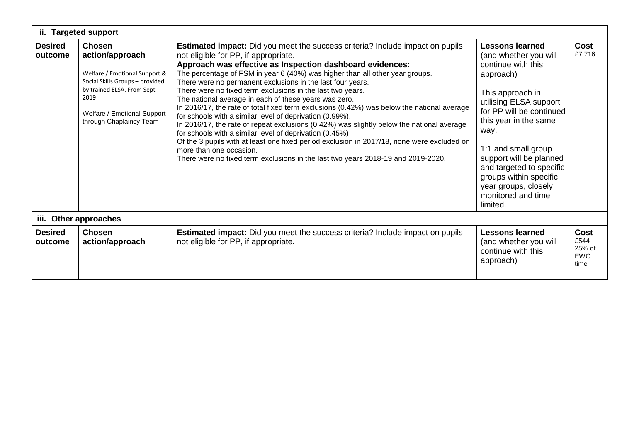|                           | ii. Targeted support                                                                                                                                                                                 |                                                                                                                                                                                                                                                                                                                                                                                                                                                                                                                                                                                                                                                                                                                                                                                                                                                                                                                                                                                               |                                                                                                                                                                                                                                                                                                                                                                 |                                                     |  |  |  |
|---------------------------|------------------------------------------------------------------------------------------------------------------------------------------------------------------------------------------------------|-----------------------------------------------------------------------------------------------------------------------------------------------------------------------------------------------------------------------------------------------------------------------------------------------------------------------------------------------------------------------------------------------------------------------------------------------------------------------------------------------------------------------------------------------------------------------------------------------------------------------------------------------------------------------------------------------------------------------------------------------------------------------------------------------------------------------------------------------------------------------------------------------------------------------------------------------------------------------------------------------|-----------------------------------------------------------------------------------------------------------------------------------------------------------------------------------------------------------------------------------------------------------------------------------------------------------------------------------------------------------------|-----------------------------------------------------|--|--|--|
| <b>Desired</b><br>outcome | <b>Chosen</b><br>action/approach<br>Welfare / Emotional Support &<br>Social Skills Groups - provided<br>by trained ELSA. From Sept<br>2019<br>Welfare / Emotional Support<br>through Chaplaincy Team | <b>Estimated impact:</b> Did you meet the success criteria? Include impact on pupils<br>not eligible for PP, if appropriate.<br>Approach was effective as Inspection dashboard evidences:<br>The percentage of FSM in year 6 (40%) was higher than all other year groups.<br>There were no permanent exclusions in the last four years.<br>There were no fixed term exclusions in the last two years.<br>The national average in each of these years was zero.<br>In 2016/17, the rate of total fixed term exclusions (0.42%) was below the national average<br>for schools with a similar level of deprivation (0.99%).<br>In 2016/17, the rate of repeat exclusions (0.42%) was slightly below the national average<br>for schools with a similar level of deprivation (0.45%)<br>Of the 3 pupils with at least one fixed period exclusion in 2017/18, none were excluded on<br>more than one occasion.<br>There were no fixed term exclusions in the last two years 2018-19 and 2019-2020. | <b>Lessons learned</b><br>(and whether you will<br>continue with this<br>approach)<br>This approach in<br>utilising ELSA support<br>for PP will be continued<br>this year in the same<br>way.<br>1:1 and small group<br>support will be planned<br>and targeted to specific<br>groups within specific<br>year groups, closely<br>monitored and time<br>limited. | Cost<br>£7,716                                      |  |  |  |
|                           | iii. Other approaches                                                                                                                                                                                |                                                                                                                                                                                                                                                                                                                                                                                                                                                                                                                                                                                                                                                                                                                                                                                                                                                                                                                                                                                               |                                                                                                                                                                                                                                                                                                                                                                 |                                                     |  |  |  |
| <b>Desired</b><br>outcome | <b>Chosen</b><br>action/approach                                                                                                                                                                     | <b>Estimated impact:</b> Did you meet the success criteria? Include impact on pupils<br>not eligible for PP, if appropriate.                                                                                                                                                                                                                                                                                                                                                                                                                                                                                                                                                                                                                                                                                                                                                                                                                                                                  | <b>Lessons learned</b><br>(and whether you will<br>continue with this<br>approach)                                                                                                                                                                                                                                                                              | <b>Cost</b><br>£544<br>25% of<br><b>EWO</b><br>time |  |  |  |